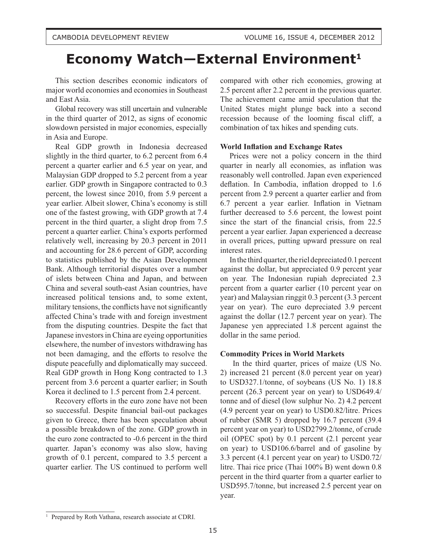# **Economy Watch-External Environment<sup>1</sup>**

This section describes economic indicators of major world economies and economies in Southeast and East Asia.

Global recovery was still uncertain and vulnerable in the third quarter of 2012, as signs of economic slowdown persisted in major economies, especially in Asia and Europe.

Real GDP growth in Indonesia decreased slightly in the third quarter, to 6.2 percent from 6.4 percent a quarter earlier and 6.5 year on year, and Malaysian GDP dropped to 5.2 percent from a year earlier. GDP growth in Singapore contracted to 0.3 percent, the lowest since 2010, from 5.9 percent a year earlier. Albeit slower, China's economy is still one of the fastest growing, with GDP growth at 7.4 percent in the third quarter, a slight drop from 7.5 percent a quarter earlier. China's exports performed relatively well, increasing by 20.3 percent in 2011 and accounting for 28.6 percent of GDP, according to statistics published by the Asian Development Bank. Although territorial disputes over a number of islets between China and Japan, and between China and several south-east Asian countries, have increased political tensions and, to some extent, military tensions, the conflicts have not significantly affected China's trade with and foreign investment from the disputing countries. Despite the fact that Japanese investors in China are eyeing opportunities elsewhere, the number of investors withdrawing has not been damaging, and the efforts to resolve the dispute peacefully and diplomatically may succeed. Real GDP growth in Hong Kong contracted to 1.3 percent from 3.6 percent a quarter earlier; in South Korea it declined to 1.5 percent from 2.4 percent.

Recovery efforts in the euro zone have not been so successful. Despite financial bail-out packages given to Greece, there has been speculation about a possible breakdown of the zone. GDP growth in the euro zone contracted to -0.6 percent in the third quarter. Japan's economy was also slow, having growth of 0.1 percent, compared to 3.5 percent a quarter earlier. The US continued to perform well

compared with other rich economies, growing at 2.5 percent after 2.2 percent in the previous quarter. The achievement came amid speculation that the United States might plunge back into a second recession because of the looming fiscal cliff, a combination of tax hikes and spending cuts.

## **World Inflation and Exchange Rates**

Prices were not a policy concern in the third quarter in nearly all economies, as inflation was reasonably well controlled. Japan even experienced deflation. In Cambodia, inflation dropped to 1.6 percent from 2.9 percent a quarter earlier and from 6.7 percent a year earlier. Inflation in Vietnam further decreased to 5.6 percent, the lowest point since the start of the financial crisis, from 22.5 percent a year earlier. Japan experienced a decrease in overall prices, putting upward pressure on real interest rates.

In the third quarter, the riel depreciated 0.1 percent against the dollar, but appreciated 0.9 percent year on year. The Indonesian rupiah depreciated 2.3 percent from a quarter earlier (10 percent year on year) and Malaysian ringgit 0.3 percent (3.3 percent year on year). The euro depreciated 3.9 percent against the dollar (12.7 percent year on year). The Japanese yen appreciated 1.8 percent against the dollar in the same period.

# **Commodity Prices in World Markets**

In the third quarter, prices of maize (US No. 2) increased 21 percent (8.0 percent year on year) to USD327.1/tonne, of soybeans (US No. 1) 18.8 percent (26.3 percent year on year) to USD649.4/ tonne and of diesel (low sulphur No. 2) 4.2 percent (4.9 percent year on year) to USD0.82/litre. Prices of rubber (SMR 5) dropped by 16.7 percent (39.4 percent year on year) to USD2799.2/tonne, of crude oil (OPEC spot) by 0.1 percent (2.1 percent year on year) to USD106.6/barrel and of gasoline by 3.3 percent (4.1 percent year on year) to USD0.72/ litre. Thai rice price (Thai 100% B) went down 0.8 percent in the third quarter from a quarter earlier to USD595.7/tonne, but increased 2.5 percent year on year.

<sup>&</sup>lt;sup>1</sup> Prepared by Roth Vathana, research associate at CDRI.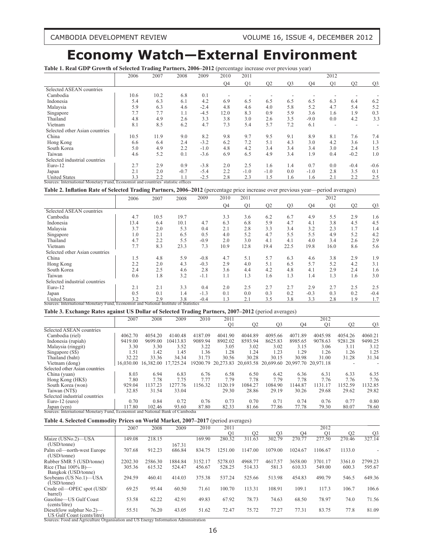CAMBODIA DEVELOPMENT REVIEW VOLUME 16, ISSUE 4, DECEMBER 2012

# **Economy Watch—External Environment**

**Table 1. Real GDP Growth of Selected Trading Partners, 2006–2012** (percentage increase over previous year)

|                                                                                  | 2006 | 2007 | 2008   | 2009   | 2010           | 2011           |                |                |           | 2012           |                          |                |
|----------------------------------------------------------------------------------|------|------|--------|--------|----------------|----------------|----------------|----------------|-----------|----------------|--------------------------|----------------|
|                                                                                  |      |      |        |        | Q <sub>4</sub> | O <sub>1</sub> | Q <sub>2</sub> | O <sub>3</sub> | <b>O4</b> | Q <sub>1</sub> | O <sub>2</sub>           | Q <sub>3</sub> |
| Selected ASEAN countries                                                         |      |      |        |        |                |                |                |                |           |                |                          |                |
| Cambodia                                                                         | 10.6 | 10.2 | 6.8    | 0.1    |                |                |                |                |           |                |                          |                |
| Indonesia                                                                        | 5.4  | 6.3  | 6.1    | 4.2    | 6.9            | 6.5            | 6.5            | 6.5            | 6.5       | 6.3            | 6.4                      | 6.2            |
| Malaysia                                                                         | 5.9  | 6.3  | 4.6    | $-2.4$ | 4.8            | 4.6            | 4.0            | 5.8            | 5.2       | 4.7            | 5.4                      | 5.2            |
| Singapore                                                                        | 7.7  | 7.7  | 1.1    | $-4.5$ | 12.0           | 8.3            | 0.9            | 5.9            | 3.6       | 1.6            | 1.9                      | 0.3            |
| Thailand                                                                         | 4.8  | 4.9  | 2.6    | 3.3    | 3.8            | 3.0            | 2.6            | 3.5            | $-9.0$    | 0.0            | 4.2                      | 3.3            |
| Vietnam                                                                          | 8.1  | 8.5  | 6.2    | 4.7    | 7.3            | 5.4            | 5.7            | 7.2            | 6.1       |                | $\overline{\phantom{a}}$ |                |
| Selected other Asian countries                                                   |      |      |        |        |                |                |                |                |           |                |                          |                |
| China                                                                            | 10.5 | 11.9 | 9.0    | 8.2    | 9.8            | 9.7            | 9.5            | 9.1            | 8.9       | 8.1            | 7.6                      | 7.4            |
| Hong Kong                                                                        | 6.6  | 6.4  | 2.4    | $-3.2$ | 6.2            | 7.2            | 5.1            | 4.3            | 3.0       | 4.2            | 3.6                      | 1.3            |
| South Korea                                                                      | 5.0  | 4.9  | 2.2    | $-1.0$ | 4.8            | 4.2            | 3.4            | 3.4            | 3.4       | 3.0            | 2.4                      | 1.5            |
| Taiwan                                                                           | 4.6  | 5.2  | 0.1    | $-3.6$ | 6.9            | 6.5            | 4.9            | 3.4            | 1.9       | 0.4            | $-0.2$                   | 1.0            |
| Selected industrial countries                                                    |      |      |        |        |                |                |                |                |           |                |                          |                |
| Euro-12                                                                          | 2.7  | 2.9  | 0.9    | $-3.8$ | 2.0            | 2.5            | 1.6            | 1.4            | 0.7       | 0.0            | $-0.4$                   | $-0.6$         |
| Japan                                                                            | 2.1  | 2.0  | $-0.7$ | $-5.4$ | 2.2            | $-1.0$         | $-1.0$         | 0.0            | $-1.0$    | 2.8            | 3.5                      | 0.1            |
| <b>United States</b>                                                             | 3.3  | 2.2  | 1.1    | $-2.5$ | 2.8            | 2.3            | 1.5            | 1.6            | 1.6       | 2.1            | 2.2                      | 2.5            |
| Sources: International Monetary Fund, Economist and countries' statistic offices |      |      |        |        |                |                |                |                |           |                |                          |                |

**Table 2. Inflation Rate of Selected Trading Partners, 2006–2012** (percentage price increase over previous year—period averages)

|                                                                                      | 2006 | 2007 | 2008 | 2009   | 2010 | 2011 |      |                |        | 2012           |     |                |
|--------------------------------------------------------------------------------------|------|------|------|--------|------|------|------|----------------|--------|----------------|-----|----------------|
|                                                                                      |      |      |      |        | Q4   | Q1   | Q2   | O <sub>3</sub> | Q4     | Q <sub>1</sub> | Q2  | Q <sub>3</sub> |
| Selected ASEAN countries                                                             |      |      |      |        |      |      |      |                |        |                |     |                |
| Cambodia                                                                             | 4.7  | 10.5 | 19.7 |        | 3.3  | 3.6  | 6.2  | 6.7            | 4.9    | 5.5            | 2.9 | 1.6            |
| Indonesia                                                                            | 13.4 | 6.4  | 10.1 | 4.7    | 6.3  | 6.8  | 5.9  | 4.7            | 4.1    | 3.8            | 4.5 | 4.5            |
| Malaysia                                                                             | 3.7  | 2.0  | 5.3  | 0.4    | 2.1  | 2.8  | 3.3  | 3.4            | 3.2    | 2.3            | 1.7 | 1.4            |
| Singapore                                                                            | 1.0  | 2.1  | 6.5  | 0.5    | 4.0  | 5.2  | 4.7  | 5.5            | 5.5    | 4.9            | 5.2 | 4.2            |
| Thailand                                                                             | 4.7  | 2.2  | 5.5  | $-0.9$ | 2.0  | 3.0  | 4.1  | 4.1            | 4.0    | 3.4            | 2.6 | 2.9            |
| Vietnam                                                                              | 7.7  | 8.3  | 23.3 | 7.3    | 10.9 | 12.8 | 19.4 | 22.5           | 19.8   | 16.0           | 8.6 | 5.6            |
| Selected other Asian countries                                                       |      |      |      |        |      |      |      |                |        |                |     |                |
| China                                                                                | 1.5  | 4.8  | 5.9  | $-0.8$ | 4.7  | 5.1  | 5.7  | 6.3            | 4.6    | 3.8            | 2.9 | 1.9            |
| Hong Kong                                                                            | 2.2  | 2.0  | 4.3  | $-0.3$ | 2.9  | 4.0  | 5.1  | 6.5            | 5.7    | 5.2            | 4.2 | 3.1            |
| South Korea                                                                          | 2.4  | 2.5  | 4.6  | 2.8    | 3.6  | 4.4  | 4.2  | 4.8            | 4.1    | 2.9            | 2.4 | 1.6            |
| Taiwan                                                                               | 0.6  | 1.8  | 3.2  | $-1.1$ | 1.1  | 1.3  | 1.6  | 1.3            | 1.4    | 1.3            | 1.6 | 3.0            |
| Selected industrial countries                                                        |      |      |      |        |      |      |      |                |        |                |     |                |
| Euro-12                                                                              | 2.1  | 2.1  | 3.3  | 0.4    | 2.0  | 2.5  | 2.7  | 2.7            | 2.9    | 2.7            | 2.5 | 2.5            |
| Japan                                                                                | 0.5  | 0.1  | 1.4  | $-1.3$ | 0.1  | 0.0  | 0.3  | 0.2            | $-0.3$ | 0.3            | 0.2 | $-0.4$         |
| <b>United States</b>                                                                 | 3.2  | 2.9  | 3.8  | $-0.4$ | 1.3  | 2.1  | 3.5  | 3.8            | 3.3    | 2.8            | 1.9 | 1.7            |
| Sources: International Monetary Fund, Economist and National Institute of Statistics |      |      |      |        |      |      |      |                |        |                |     |                |

**Table 3. Exchange Rates against US Dollar of Selected Trading Partners, 2007–2012** (period averages)

|                                                                               | 2007    | 2008                | 2009      | 2010    | 2011           |                |                                                            |         | 2012           |                |                |
|-------------------------------------------------------------------------------|---------|---------------------|-----------|---------|----------------|----------------|------------------------------------------------------------|---------|----------------|----------------|----------------|
|                                                                               |         |                     |           |         | O <sub>1</sub> | O <sub>2</sub> | O <sub>3</sub>                                             | O4      | O <sub>1</sub> | O <sub>2</sub> | Q <sub>3</sub> |
| Selected ASEAN countries                                                      |         |                     |           |         |                |                |                                                            |         |                |                |                |
| Cambodia (riel)                                                               | 4062.70 | 4054.20             | 4140.48   | 4187.09 | 4041.90        | 4044.89        | 4095.66                                                    | 4071.89 | 4045.98        | 4054.26        | 4060.21        |
| Indonesia (rupiah)                                                            | 9419.00 | 9699.00             | 10413.83  | 9089.94 | 8902.02        | 8593.94        | 8625.83                                                    | 8985.65 | 9078.63        | 9281.28        | 9490.25        |
| Malaysia (ringgit)                                                            | 3.30    | 3.30                | 3.52      | 3.22    | 3.05           | 3.02           | 3.02                                                       | 3.15    | 3.06           | 3.11           | 3.12           |
| Singapore (S\$)                                                               | 1.51    | 1.42                | 1.45      | 1.36    | 1.28           | 1.24           | 1.23                                                       | 1.29    | 1.26           | 1.26           | 1.25           |
| Thailand (baht)                                                               | 32.22   | 33.36               | 34.34     | 31.73   | 30.56          | 30.28          | 30.15                                                      | 30.98   | 31.00          | 31.28          | 31.34          |
| Vietnam (dong)                                                                |         | 16.030.00 16.382.00 | 17.725.24 |         |                |                | 19200.79 20,273.83 20,693.58 20,699.60 20,997.70 20,971.18 |         |                |                |                |
| Selected other Asian countries                                                |         |                     |           |         |                |                |                                                            |         |                |                |                |
| China (yuan)                                                                  | 8.03    | 6.94                | 6.83      | 6.76    | 6.58           | 6.50           | 6.42                                                       | 6.36    | 6.31           | 6.33           | 6.35           |
| Hong Kong (HK\$)                                                              | 7.80    | 7.78                | 7.75      | 7.77    | 7.79           | 7.78           | 7.79                                                       | 7.78    | 7.76           | 7.76           | 7.76           |
| South Korea (won)                                                             | 929.04  | 1137.23             | 1277.76   | 1156.32 | 1120.19        | 1084.27        | 1084.90                                                    | 1144.87 | 1131.17        | 1152.59        | 1132.85        |
| Taiwan (NT\$)                                                                 | 32.85   | 31.54               | 33.04     |         | 29.30          | 28.86          | 29.19                                                      | 30.26   | 29.68          | 29.62          | 29.82          |
| Selected industrial countries                                                 |         |                     |           |         |                |                |                                                            |         |                |                |                |
| Euro-12 (euro)                                                                | 0.70    | 0.84                | 0.72      | 0.76    | 0.73           | 0.70           | 0.71                                                       | 0.74    | 0.76           | 0.77           | 0.80           |
| Japan (yen)                                                                   | 117.80  | 102.46              | 93.60     | 87.80   | 82.33          | 81.66          | 77.86                                                      | 77.78   | 79.30          | 80.07          | 78.60          |
| Sources: International Monetary Fund, Economist and National Bank of Cambodia |         |                     |           |         |                |                |                                                            |         |                |                |                |

#### **Table 4. Selected Commodity Prices on World Market, 2007–2017** (period averages)

|                                                                                     | 2007    | 2008    | 2009    | 2010    | 2011           |         |                |         | 2012           |                |                |
|-------------------------------------------------------------------------------------|---------|---------|---------|---------|----------------|---------|----------------|---------|----------------|----------------|----------------|
|                                                                                     |         |         |         |         | O <sub>1</sub> | Q2      | Q <sub>3</sub> | O4      | Q <sub>1</sub> | Q <sub>2</sub> | Q <sub>3</sub> |
| Maize (USNo.2)-USA<br>(USD/tonne)                                                   | 149.08  | 218.15  |         | 169.90  | 280.32         | 311.63  | 302.79         | 270.77  | 277.50         | 270.46         | 327.14         |
|                                                                                     |         |         | 167.31  |         |                |         |                |         |                |                |                |
| Palm oil—north-west Europe<br>(USD/tonne)                                           | 707.68  | 912.23  | 686.84  | 834.75  | 1251.00        | 1147.00 | 1079.00        | 1024.67 | 1106.67        | 1133.0         |                |
| Rubber SMR 5 (USD/tonne)                                                            | 2202.30 | 2586.30 | 1884.84 | 3152.17 | 5278.03        | 4968.77 | 4617.57        | 3658.00 | 3701.17        | 3361.0         | 2799.23        |
| Rice (Thai $100\%$ B)—<br>Bangkok (USD/tonne)                                       | 305.36  | 615.32  | 524.47  | 456.67  | 528.25         | 514.33  | 581.3          | 610.33  | 549.00         | 600.3          | 595.67         |
| Soybeans (US No.1)-USA<br>(USD/tonne)                                               | 294.59  | 460.41  | 414.03  | 375.38  | 537.24         | 525.66  | 513.98         | 454.83  | 490.79         | 546.5          | 649.36         |
| Crude oil—OPEC spot (USD/<br>barrel)                                                | 69.25   | 95.44   | 60.50   | 71.61   | 100.70         | 113.31  | 108.91         | 109.1   | 117.3          | 106.7          | 106.6          |
| Gasoline—US Gulf Coast<br>(cents/litre)                                             | 53.58   | 62.22   | 42.91   | 49.83   | 67.92          | 78.73   | 74.63          | 68.50   | 78.97          | 74.0           | 71.56          |
| Diesel(low sulphur $No.2$ )—<br>US Gulf Coast (cents/litre)                         | 55.51   | 76.20   | 43.05   | 51.62   | 72.47          | 75.72   | 77.27          | 77.31   | 83.75          | 77.8           | 81.09          |
| Sources: Food and Agriculture Organisation and US Energy Information Administration |         |         |         |         |                |         |                |         |                |                |                |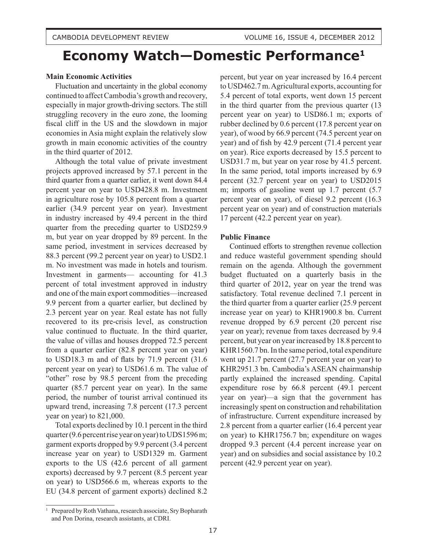# **Economy Watch—Domestic Performance1**

# **Main Economic Activities**

Fluctuation and uncertainty in the global economy continued to affect Cambodia's growth and recovery, especially in major growth-driving sectors. The still struggling recovery in the euro zone, the looming fiscal cliff in the US and the slowdown in major economies in Asia might explain the relatively slow growth in main economic activities of the country in the third quarter of 2012.

Although the total value of private investment projects approved increased by 57.1 percent in the third quarter from a quarter earlier, it went down 84.4 percent year on year to USD428.8 m. Investment in agriculture rose by 105.8 percent from a quarter earlier (34.9 percent year on year). Investment in industry increased by 49.4 percent in the third quarter from the preceding quarter to USD259.9 m, but year on year dropped by 89 percent. In the same period, investment in services decreased by 88.3 percent (99.2 percent year on year) to USD2.1 m. No investment was made in hotels and tourism. Investment in garments— accounting for 41.3 percent of total investment approved in industry and one of the main export commodities—increased 9.9 percent from a quarter earlier, but declined by 2.3 percent year on year. Real estate has not fully recovered to its pre-crisis level, as construction value continued to fluctuate. In the third quarter, the value of villas and houses dropped 72.5 percent from a quarter earlier (82.8 percent year on year) to USD18.3 m and of flats by 71.9 percent (31.6 percent year on year) to USD61.6 m. The value of "other" rose by 98.5 percent from the preceding quarter (85.7 percent year on year). In the same period, the number of tourist arrival continued its upward trend, increasing 7.8 percent (17.3 percent year on year) to 821,000.

Total exports declined by 10.1 percent in the third quarter (9.6 percent rise year on year) to UDS1596 m; garment exports dropped by 9.9 percent (3.4 percent increase year on year) to USD1329 m. Garment exports to the US (42.6 percent of all garment exports) decreased by 9.7 percent (8.5 percent year on year) to USD566.6 m, whereas exports to the EU (34.8 percent of garment exports) declined 8.2 percent, but year on year increased by 16.4 percent to USD462.7 m. Agricultural exports, accounting for 5.4 percent of total exports, went down 15 percent in the third quarter from the previous quarter (13 percent year on year) to USD86.1 m; exports of rubber declined by 0.6 percent (17.8 percent year on year), of wood by 66.9 percent (74.5 percent year on year) and of fish by 42.9 percent (71.4 percent year on year). Rice exports decreased by 15.5 percent to USD31.7 m, but year on year rose by 41.5 percent. In the same period, total imports increased by 6.9 percent (32.7 percent year on year) to USD2015 m; imports of gasoline went up 1.7 percent (5.7 percent year on year), of diesel 9.2 percent (16.3 percent year on year) and of construction materials 17 percent (42.2 percent year on year).

### **Public Finance**

Continued efforts to strengthen revenue collection and reduce wasteful government spending should remain on the agenda. Although the government budget fluctuated on a quarterly basis in the third quarter of 2012, year on year the trend was satisfactory. Total revenue declined 7.1 percent in the third quarter from a quarter earlier (25.9 percent increase year on year) to KHR1900.8 bn. Current revenue dropped by 6.9 percent (20 percent rise year on year); revenue from taxes decreased by 9.4 percent, but year on year increased by 18.8 percent to KHR1560.7 bn. In the same period, total expenditure went up 21.7 percent (27.7 percent year on year) to KHR2951.3 bn. Cambodia's ASEAN chairmanship partly explained the increased spending. Capital expenditure rose by 66.8 percent (49.1 percent year on year)—a sign that the government has increasingly spent on construction and rehabilitation of infrastructure. Current expenditure increased by 2.8 percent from a quarter earlier (16.4 percent year on year) to KHR1756.7 bn; expenditure on wages dropped 9.3 percent (4.4 percent increase year on year) and on subsidies and social assistance by 10.2 percent (42.9 percent year on year).

<sup>&</sup>lt;sup>1</sup> Prepared by Roth Vathana, research associate, Sry Bopharath and Pon Dorina, research assistants, at CDRI.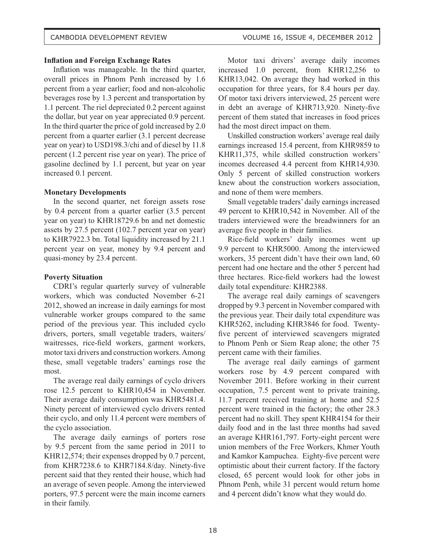# **Inflation and Foreign Exchange Rates**

Inflation was manageable. In the third quarter, overall prices in Phnom Penh increased by 1.6 percent from a year earlier; food and non-alcoholic beverages rose by 1.3 percent and transportation by 1.1 percent. The riel depreciated 0.2 percent against the dollar, but year on year appreciated 0.9 percent. In the third quarter the price of gold increased by 2.0 percent from a quarter earlier (3.1 percent decrease year on year) to USD198.3/chi and of diesel by 11.8 percent (1.2 percent rise year on year). The price of gasoline declined by 1.1 percent, but year on year increased 0.1 percent.

# **Monetary Developments**

In the second quarter, net foreign assets rose by 0.4 percent from a quarter earlier (3.5 percent year on year) to KHR18729.6 bn and net domestic assets by 27.5 percent (102.7 percent year on year) to KHR7922.3 bn. Total liquidity increased by 21.1 percent year on year, money by 9.4 percent and quasi-money by 23.4 percent.

# **Poverty Situation**

CDRI's regular quarterly survey of vulnerable workers, which was conducted November 6-21 2012, showed an increase in daily earnings for most vulnerable worker groups compared to the same period of the previous year. This included cyclo drivers, porters, small vegetable traders, waiters/ waitresses, rice-field workers, garment workers, motor taxi drivers and construction workers. Among these, small vegetable traders' earnings rose the most.

The average real daily earnings of cyclo drivers rose 12.5 percent to KHR10,454 in November. Their average daily consumption was KHR5481.4. Ninety percent of interviewed cyclo drivers rented their cyclo, and only 11.4 percent were members of the cyclo association.

The average daily earnings of porters rose by 9.5 percent from the same period in 2011 to KHR12,574; their expenses dropped by 0.7 percent, from KHR7238.6 to KHR7184.8/day. Ninety-five percent said that they rented their house, which had an average of seven people. Among the interviewed porters, 97.5 percent were the main income earners in their family.

Motor taxi drivers' average daily incomes increased 1.0 percent, from KHR12,256 to KHR13,042. On average they had worked in this occupation for three years, for 8.4 hours per day. Of motor taxi drivers interviewed, 25 percent were in debt an average of KHR713,920. Ninety-five percent of them stated that increases in food prices had the most direct impact on them.

Unskilled construction workers' average real daily earnings increased 15.4 percent, from KHR9859 to KHR11,375, while skilled construction workers' incomes decreased 4.4 percent from KHR14,930. Only 5 percent of skilled construction workers knew about the construction workers association, and none of them were members.

Small vegetable traders' daily earnings increased 49 percent to KHR10,542 in November. All of the traders interviewed were the breadwinners for an average five people in their families.

Rice-field workers' daily incomes went up 9.9 percent to KHR5000. Among the interviewed workers, 35 percent didn't have their own land, 60 percent had one hectare and the other 5 percent had three hectares. Rice-field workers had the lowest daily total expenditure: KHR2388.

The average real daily earnings of scavengers dropped by 9.3 percent in November compared with the previous year. Their daily total expenditure was KHR5262, including KHR3846 for food. Twentyfive percent of interviewed scavengers migrated to Phnom Penh or Siem Reap alone; the other 75 percent came with their families.

The average real daily earnings of garment workers rose by 4.9 percent compared with November 2011. Before working in their current occupation, 7.5 percent went to private training, 11.7 percent received training at home and 52.5 percent were trained in the factory; the other 28.3 percent had no skill. They spent KHR4154 for their daily food and in the last three months had saved an average KHR161,797. Forty-eight percent were union members of the Free Workers, Khmer Youth and Kamkor Kampuchea. Eighty-five percent were optimistic about their current factory. If the factory closed, 65 percent would look for other jobs in Phnom Penh, while 31 percent would return home and 4 percent didn't know what they would do.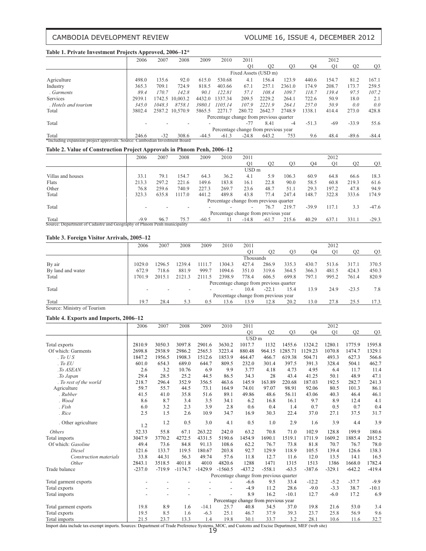# CAMBODIA DEVELOPMENT REVIEW VOLUME 16, ISSUE 4, DECEMBER 2012

#### **Table 1. Private Investment Projects Approved, 2006–12\***

|                                                                            | . .    |        |                 |         |                                         |                      |                |                |         |       |                |                |
|----------------------------------------------------------------------------|--------|--------|-----------------|---------|-----------------------------------------|----------------------|----------------|----------------|---------|-------|----------------|----------------|
|                                                                            | 2006   | 2007   | 2008            | 2009    | 2010                                    | 2011                 |                |                |         | 2012  |                |                |
|                                                                            |        |        |                 |         |                                         | O <sub>1</sub>       | Q <sub>2</sub> | O <sub>3</sub> | O4      | Q1    | Q <sub>2</sub> | Q <sub>3</sub> |
|                                                                            |        |        |                 |         |                                         | Fixed Assets (USD m) |                |                |         |       |                |                |
| Agriculture                                                                | 498.0  | 135.6  | 92.0            | 615.0   | 530.68                                  | 4.1                  | 156.4          | 123.9          | 440.6   | 154.7 | 81.2           | 167.1          |
| Industry                                                                   | 365.3  | 709.1  | 724.9           | 818.5   | 403.66                                  | 67.1                 | 257.1          | 2361.0         | 174.9   | 208.7 | 173.7          | 259.5          |
| Garments                                                                   | 89.4   | 170.7  | 142.8           | 90.1    | 122.81                                  | 57.1                 | 108.4          | 109.7          | 118.7   | 139.4 | 97.5           | 107.2          |
| Services                                                                   | 2939.1 | 1742.5 | 10,003.2        | 4432.0  | 1337.34                                 | 209.5                | 2229.2         | 264.1          | 722.6   | 50.9  | 18.0           | 2.1            |
| Hotels and tourism                                                         | 345.0  | 1048.3 | 8758.1          | 3980.1  | 1105.14                                 | 107.9                | 2221.9         | 264.1          | 257.0   | 50.9  | 0.0            | 0.0            |
| Total                                                                      | 3802.4 |        | 2587.2 10.570.9 | 5865.5  | 2271.7                                  | 280.72               | 2642.7         | 2748.9         | 1338.1  | 414.4 | 273.0          | 428.8          |
|                                                                            |        |        |                 |         | Percentage change from previous quarter |                      |                |                |         |       |                |                |
| Total                                                                      |        |        |                 |         |                                         | $-77$                | 8.41           | -4             | $-51.3$ | $-69$ | $-33.9$        | 55.6           |
|                                                                            |        |        |                 |         | Percentage change from previous year    |                      |                |                |         |       |                |                |
| Total                                                                      | 246.6  | $-32$  | 308.6           | $-44.5$ | $-61.3$                                 | $-24.8$              | 643.2          | 753            | 9.6     | 48.4  | $-89.6$        | $-84.4$        |
| *Including expansion project approvals. Source: Cambodian Investment Board |        |        |                 |         |                                         |                      |                |                |         |       |                |                |

### **Table 2. Value of Construction Project Approvals in Phnom Penh, 2006–12**

|                                                                         | 2006   | 2007  | 2008   | 2009    | 2010                                    | 2011             |                |                |         | 2012           |                |                |
|-------------------------------------------------------------------------|--------|-------|--------|---------|-----------------------------------------|------------------|----------------|----------------|---------|----------------|----------------|----------------|
|                                                                         |        |       |        |         |                                         | O1               | O <sub>2</sub> | O <sub>3</sub> | O4      | O <sub>1</sub> | O <sub>2</sub> | Q <sub>3</sub> |
|                                                                         |        |       |        |         |                                         | USD <sub>m</sub> |                |                |         |                |                |                |
| Villas and houses                                                       | 33.1   | 79.1  | 154.7  | 64.3    | 36.2                                    | 4.1              | 5.9            | 106.3          | 60.9    | 64.8           | 66.6           | 18.3           |
| Flats                                                                   | 213.3  | 297.2 | 221.6  | 149.6   | 183.8                                   | 16.1             | 22.8           | 90.0           | 58.5    | 60.8           | 219.3          | 61.6           |
| Other                                                                   | 76.8   | 259.6 | 740.9  | 227.3   | 269.7                                   | 23.6             | 48.7           | 51.1           | 29.3    | 197.2          | 47.8           | 94.9           |
| Total                                                                   | 323.3  | 635.8 | 1117.0 | 441.2   | 489.8                                   | 43.8             | 77.4           | 247.4          | 148.7   | 322.8          | 333.6          | 174.9          |
|                                                                         |        |       |        |         | Percentage change from previous quarter |                  |                |                |         |                |                |                |
| Total                                                                   |        |       |        |         |                                         |                  | 76.7           | 219.7          | $-39.9$ | 117.1          | 3.3            | $-47.6$        |
|                                                                         |        |       |        |         | Percentage change from previous year    |                  |                |                |         |                |                |                |
| Total                                                                   | $-9.9$ | 96.7  | 75.7   | $-60.5$ |                                         | $-14.8$          | $-61.7$        | 215.6          | 40.29   | 637.1          | 331.1          | $-29.3$        |
| Source: Department of Cadastre and Geography of Phnom Penh municipality |        |       |        |         |                                         |                  |                |                |         |                |                |                |

#### **Table 3. Foreign Visitor Arrivals, 2005–12**

|                             | 2006   | 2007   | 2008   | 2009   | 2010                                    | 2011      |         |                |       | 2012           |                |                |
|-----------------------------|--------|--------|--------|--------|-----------------------------------------|-----------|---------|----------------|-------|----------------|----------------|----------------|
|                             |        |        |        |        |                                         | O1        | O2      | O <sub>3</sub> | O4    | O <sub>1</sub> | O <sub>2</sub> | Q <sub>3</sub> |
|                             |        |        |        |        |                                         | Thousands |         |                |       |                |                |                |
| By air                      | 1029.0 | 1296.5 | 1239.4 | 1111.7 | 1304.3                                  | 427.4     | 286.9   | 335.3          | 430.7 | 513.6          | 317.1          | 370.5          |
| By land and water           | 672.9  | 718.6  | 881.9  | 999.7  | 1094.6                                  | 351.0     | 319.6   | 364.5          | 366.3 | 481.5          | 424.3          | 450.3          |
| Total                       | 1701.9 | 2015.1 | 2121.3 | 2111.5 | 2398.9                                  | 778.4     | 606.5   | 699.8          | 797.1 | 995.2          | 761.4          | 820.9          |
|                             |        |        |        |        | Percentage change from previous quarter |           |         |                |       |                |                |                |
| Total                       |        |        |        |        | $\overline{\phantom{a}}$                | 10.4      | $-22.1$ | 15.4           | 13.9  | 24.9           | $-23.5$        | 7.8            |
|                             |        |        |        |        | Percentage change from previous year    |           |         |                |       |                |                |                |
| Total                       | 19.7   | 28.4   | 5.3    | 0.5    | 13.6                                    | 13.9      | 12.8    | 20.2           | 13.0  | 27.8           | 25.5           | 17.3           |
| Source: Ministry of Tourism |        |        |        |        |                                         |           |         |                |       |                |                |                |

### **Table 4. Exports and Imports, 2006–12**

|                                                                                                                                                 | 2006     | 2007     | 2008      | 2009      | 2010                                    | 2011             |          |                |                | 2012           |          |                |
|-------------------------------------------------------------------------------------------------------------------------------------------------|----------|----------|-----------|-----------|-----------------------------------------|------------------|----------|----------------|----------------|----------------|----------|----------------|
|                                                                                                                                                 |          |          |           |           |                                         | Q1               | Q2       | Q <sub>3</sub> | Q <sub>4</sub> | Q <sub>1</sub> | Q2       | Q <sub>3</sub> |
|                                                                                                                                                 |          |          |           |           |                                         | USD <sub>m</sub> |          |                |                |                |          |                |
| Total exports                                                                                                                                   | 2810.9   | 3050.3   | 3097.8    | 2901.6    | 3630.2                                  | 1017.7           | 1132     | 1455.6         | 1324.2         | 1280.1         | 1775.9   | 1595.8         |
| Of which: Garments                                                                                                                              | 2698.8   | 2938.9   | 2986.2    | 2565.3    | 3223.4                                  | 880.48           | 964.15   | 1285.71        | 1129.23        | 1070.8         | 1474.7   | 1329.1         |
| ToUS                                                                                                                                            | 1847.2   | 1956.5   | 1908.3    | 1512.6    | 1853.9                                  | 464.47           | 466.7    | 619.38         | 504.71         | 493.3          | 627.3    | 566.6          |
| . To EU                                                                                                                                         | 601.0    | 654.3    | 689.0     | 644.7     | 809.5                                   | 232.0            | 301.4    | 397.5          | 391.3          | 328.4          | 504.1    | 462.7          |
| .To ASEAN                                                                                                                                       | 2.6      | 3.2      | 10.76     | 6.9       | 9.9                                     | 3.77             | 4.18     | 4.73           | 4.95           | 6.4            | 11.7     | 11.4           |
| .To Japan                                                                                                                                       | 29.4     | 28.5     | 25.2      | 44.5      | 86.5                                    | 34.3             | 28       | 43.4           | 41.25          | 50.1           | 48.9     | 47.1           |
| . To rest of the world                                                                                                                          | 218.7    | 296.4    | 352.9     | 356.5     | 463.6                                   | 145.9            | 163.89   | 220.68         | 187.03         | 192.5          | 282.7    | 241.3          |
| Agriculture                                                                                                                                     | 59.7     | 55.7     | 44.5      | 73.1      | 164.9                                   | 74.01            | 97.07    | 98.91          | 92.06          | 80.5           | 101.3    | 86.1           |
| . Rubber                                                                                                                                        | 41.5     | 41.0     | 35.8      | 51.6      | 89.1                                    | 49.86            | 48.6     | 56.11          | 43.06          | 40.3           | 46.4     | 46.1           |
| Wood                                                                                                                                            | 8.6      | 8.7      | 3.4       | 3.5       | 34.1                                    | 6.2              | 16.8     | 16.1           | 9.7            | 8.9            | 12.4     | 4.1            |
| Fish                                                                                                                                            | 6.0      | 3.2      | 2.3       | 3.9       | 2.8                                     | 0.6              | 0.4      | 1.4            | 0.7            | 0.5            | 0.7      | 0.4            |
| . Rice                                                                                                                                          | 2.5      | 1.5      | 2.6       | 10.9      | 34.7                                    | 16.9             | 30.3     | 22.4           | 37.0           | 27.1           | 37.5     | 31.7           |
| . Other agriculture                                                                                                                             | 1.2      | 1.2      | 0.5       | 3.0       | 4.1                                     | 0.5              | 1.0      | 2.9            | 1.6            | 3.9            | 4.4      | 3.9            |
| <i>Others</i>                                                                                                                                   | 52.33    | 55.8     | 67.1      | 263.22    | 242.0                                   | 63.2             | 70.8     | 71.0           | 102.9          | 128.8          | 199.9    | 180.6          |
| Total imports                                                                                                                                   | 3047.9   | 3770.2   | 4272.5    | 4331.5    | 5190.6                                  | 1454.9           | 1690.1   | 1519.1         | 1711.9         | 1609.2         | 1885.4   | 2015.2         |
| Of which: Gasoline                                                                                                                              | 49.4     | 73.6     | 84.8      | 91.13     | 108.6                                   | 62.2             | 76.7     | 73.8           | 81.8           | 70.7           | 76.7     | 78.0           |
| <i>Diesel</i>                                                                                                                                   | 121.6    | 133.7    | 119.5     | 180.67    | 203.8                                   | 92.7             | 129.9    | 118.9          | 105.5          | 139.4          | 126.6    | 138.3          |
| Construction materials                                                                                                                          | 33.8     | 44.31    | 56.3      | 49.74     | 57.6                                    | 11.8             | 12.7     | 11.6           | 12.0           | 13.5           | 14.1     | 16.5           |
| Other                                                                                                                                           | 2843.1   | 3518.5   | 4011.8    | 4010      | 4820.6                                  | 1288             | 1471     | 1315           | 1513           | 1386           | 1668.0   | 1782.4         |
| Trade balance                                                                                                                                   | $-237.0$ | $-719.9$ | $-1174.7$ | $-1429.9$ | $-1560.5$                               | $-437.2$         | $-558.1$ | $-63.5$        | $-387.6$       | $-329.1$       | $-642.2$ | $-419.4$       |
|                                                                                                                                                 |          |          |           |           | Percentage change from previous quarter |                  |          |                |                |                |          |                |
| Total garment exports                                                                                                                           |          |          |           |           |                                         | $-6.6$           | 9.5      | 33.4           | $-12.2$        | $-5.2$         | $-37.7$  | $-9.9$         |
| Total exports                                                                                                                                   |          |          |           |           |                                         | $-4.9$           | 11.2     | 28.6           | $-9.0$         | $-3.3$         | 38.7     | $-10.1$        |
| Total imports                                                                                                                                   |          |          |           |           |                                         | 8.9              | 16.2     | $-10.1$        | 12.7           | $-6.0$         | 17.2     | 6.9            |
|                                                                                                                                                 |          |          |           |           | Percentage change from previous year    |                  |          |                |                |                |          |                |
| Total garment exports                                                                                                                           | 19.8     | 8.9      | 1.6       | $-14.1$   | 25.7                                    | 40.8             | 34.5     | 37.0           | 19.8           | 21.6           | 53.0     | 3.4            |
| Total exports                                                                                                                                   | 19.5     | 8.5      | 1.6       | $-6.3$    | 25.1                                    | 46.7             | 37.9     | 39.3           | 23.7           | 25.8           | 56.9     | 9.6            |
| Total imports                                                                                                                                   | 21.5     | 23.7     | 13.3      | 1.4       | 19.8                                    | 30.1             | 33.7     | 3.2            | 28.1           | 10.6           | 11.6     | 32.7           |
| Import data include tax exempt imports. Courses: Department of Trade Preference Systems, MOC, and Customs and Excise Department, MEE (web site) |          |          |           |           |                                         |                  |          |                |                |                |          |                |

Import data include tax-exempt imports. Sources: Department of Trade Preference Systems, MOC, and Customs and Excise Department, MEF (web site)